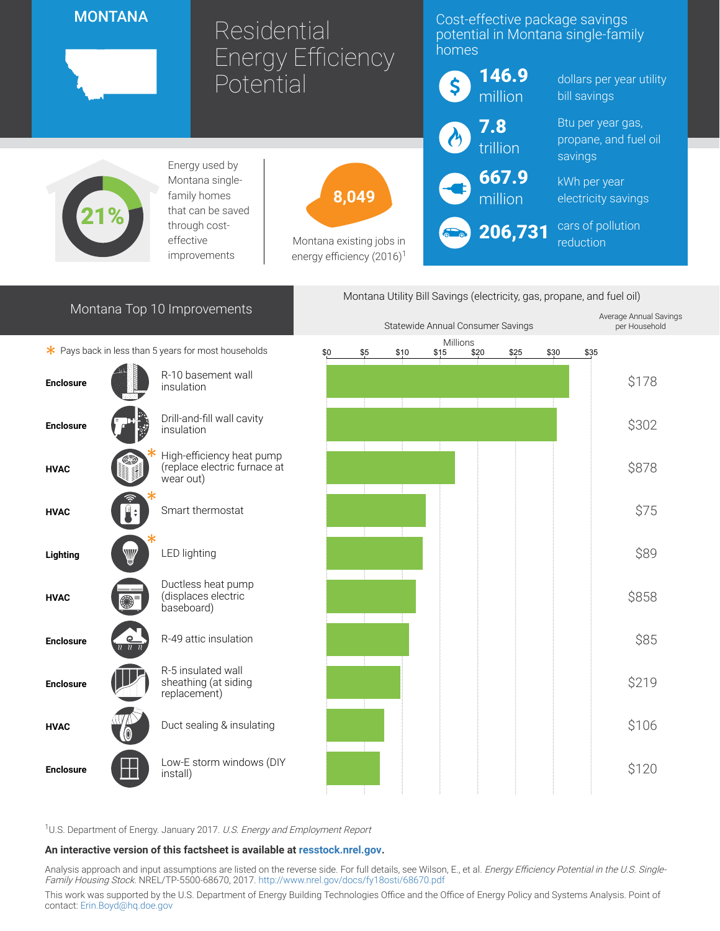## **MONTANA**

# Residential Energy Efficiency Potential

### Cost-effective package savings potential in Montana single-family homes



dollars per year utility bill savings

Btu per year gas, propane, and fuel oil savings

kWh per year electricity savings

cars of pollution reduction



Energy used by Montana singlefamily homes that can be saved through costeffective improvements



Montana existing jobs in energy efficiency  $(2016)^1$ 



206,731



<sup>1</sup>U.S. Department of Energy. January 2017. U.S. Energy and Employment Report

#### An interactive version of this factsheet is available at [resstock.nrel.gov.](https://resstock.nrel.gov/)

Analysis approach and input assumptions are listed on the reverse side. For full details, see Wilson, E., et al. Energy Efficiency Potential in the U.S. Single-Family Housing Stock. NREL/TP-5500-68670, 2017. <http://www.nrel.gov/docs/fy18osti/68670.pdf>

This work was supported by the U.S. Department of Energy Building Technologies Office and the Office of Energy Policy and Systems Analysis. Point of contact: [Erin.Boyd@hq.doe.gov](mailto:Erin.Boyd@hq.doe.gov)